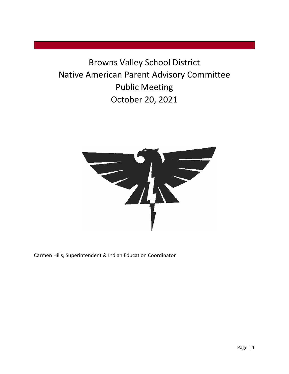Browns Valley School District Native American Parent Advisory Committee Public Meeting October 20, 2021



Carmen Hills, Superintendent & Indian Education Coordinator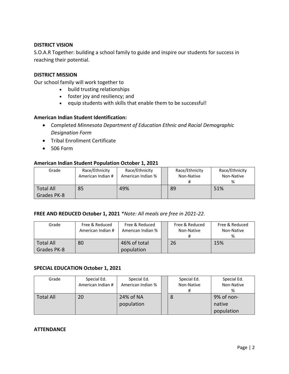#### **DISTRICT VISION**

S.O.A.R Together: building a school family to guide and inspire our students for success in reaching their potential.

#### **DISTRICT MISSION**

Our school family will work together to

- build trusting relationships
- foster joy and resiliency; and
- equip students with skills that enable them to be successful!

#### **American Indian Student Identification:**

- Completed *Minnesota Department of Education Ethnic and Racial Demographic Designation Form*
- Tribal Enrollment Certificate
- 506 Form

#### **American Indian Student Population October 1, 2021**

| Grade                           | Race/Ethnicity<br>American Indian # | Race/Ethnicity<br>American Indian % | Race/Ethnicity<br>Non-Native | Race/Ethnicity<br>Non-Native<br>% |
|---------------------------------|-------------------------------------|-------------------------------------|------------------------------|-----------------------------------|
| <b>Total All</b><br>Grades PK-8 | 85                                  | 49%                                 | 89                           | 51%                               |

#### **FREE AND REDUCED October 1, 2021** *\*Note: All meals are free in 2021-22.*

| Grade            | Free & Reduced<br>American Indian # | Free & Reduced<br>American Indian % | Free & Reduced<br>Non-Native | Free & Reduced<br>Non-Native<br>% |
|------------------|-------------------------------------|-------------------------------------|------------------------------|-----------------------------------|
| <b>Total All</b> | 80                                  | 46% of total                        | 26                           | 15%                               |
| Grades PK-8      |                                     | population                          |                              |                                   |

#### **SPECIAL EDUCATION October 1, 2021**

| Grade            | Special Ed.       | Special Ed.       | Special Ed. | Special Ed. |
|------------------|-------------------|-------------------|-------------|-------------|
|                  | American Indian # | American Indian % | Non-Native  | Non-Native  |
|                  |                   |                   | #           | %           |
| <b>Total All</b> | 20                | 24% of NA         | 8           | 9% of non-  |
|                  |                   | population        |             | native      |
|                  |                   |                   |             | population  |

#### **ATTENDANCE**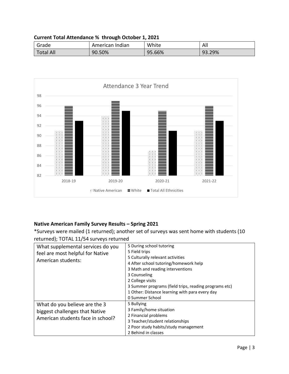| Current Total Attendance % through October 1, 2021 |  |  |
|----------------------------------------------------|--|--|
|----------------------------------------------------|--|--|

| Grade            | American Indian | White  | All    |
|------------------|-----------------|--------|--------|
| <b>Total All</b> | 90.50%          | 95.66% | 93.29% |



## **Native American Family Survey Results – Spring 2021**

\*Surveys were mailed (1 returned); another set of surveys was sent home with students (10 returned); TOTAL 11/54 surveys returned

| .                                                      |                                                                           |  |  |  |
|--------------------------------------------------------|---------------------------------------------------------------------------|--|--|--|
| What supplemental services do you                      | 5 During school tutoring                                                  |  |  |  |
| feel are most helpful for Native<br>American students: | 5 Field trips                                                             |  |  |  |
|                                                        | 5 Culturally relevant activities<br>4 After school tutoring/homework help |  |  |  |
|                                                        |                                                                           |  |  |  |
|                                                        | 3 Counseling                                                              |  |  |  |
|                                                        | 2 College visits                                                          |  |  |  |
|                                                        | 3 Summer programs (field trips, reading programs etc)                     |  |  |  |
|                                                        | 1 Other: Distance learning with para every day                            |  |  |  |
|                                                        | 0 Summer School                                                           |  |  |  |
| What do you believe are the 3                          | 5 Bullying                                                                |  |  |  |
| biggest challenges that Native                         | 3 Family/home situation                                                   |  |  |  |
|                                                        | 2 Financial problems                                                      |  |  |  |
| American students face in school?                      | 3 Teacher/student relationships                                           |  |  |  |
|                                                        | 2 Poor study habits/study management                                      |  |  |  |
|                                                        | 2 Behind in classes                                                       |  |  |  |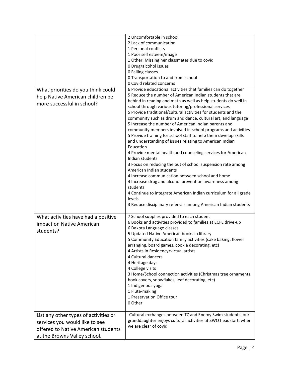|                                                                                                                                                | 2 Uncomfortable in school<br>2 Lack of communication<br>1 Personal conflicts<br>1 Poor self esteem/image<br>1 Other: Missing her classmates due to covid<br>0 Drug/alcohol issues<br>0 Failing classes<br>0 Transportation to and from school<br>0 Covid related concerns                                                                                                                                                                                                                                                                                                                                                                                                                                                                                                                                                                                                                                                                                                                                                                        |
|------------------------------------------------------------------------------------------------------------------------------------------------|--------------------------------------------------------------------------------------------------------------------------------------------------------------------------------------------------------------------------------------------------------------------------------------------------------------------------------------------------------------------------------------------------------------------------------------------------------------------------------------------------------------------------------------------------------------------------------------------------------------------------------------------------------------------------------------------------------------------------------------------------------------------------------------------------------------------------------------------------------------------------------------------------------------------------------------------------------------------------------------------------------------------------------------------------|
| What priorities do you think could<br>help Native American children be<br>more successful in school?                                           | 6 Provide educational activities that families can do together<br>5 Reduce the number of American Indian students that are<br>behind in reading and math as well as help students do well in<br>school through various tutoring/professional services<br>5 Provide traditional/cultural activities for students and the<br>community such as drum and dance, cultural art, and language<br>5 Increase the number of American Indian parents and<br>community members involved in school programs and activities<br>5 Provide training for school staff to help them develop skills<br>and understanding of issues relating to American Indian<br>Education<br>4 Provide mental health and counseling services for American<br>Indian students<br>3 Focus on reducing the out of school suspension rate among<br>American Indian students<br>4 Increase communication between school and home<br>4 Increase drug and alcohol prevention awareness among<br>students<br>4 Continue to integrate American Indian curriculum for all grade<br>levels |
| What activities have had a positive<br>impact on Native American<br>students?                                                                  | 3 Reduce disciplinary referrals among American Indian students<br>7 School supplies provided to each student<br>6 Books and activities provided to families at ECFE drive-up<br>6 Dakota Language classes<br>5 Updated Native American books in library<br>5 Community Education family activities (cake baking, flower<br>arranging, board games, cookie decorating, etc)<br>4 Artists in Residency/virtual artists<br>4 Cultural dancers<br>4 Heritage days<br>4 College visits<br>3 Home/School connection activities (Christmas tree ornaments,<br>book covers, snowflakes, leaf decorating, etc)<br>1 Indigenous yoga<br>1 Flute-making<br>1 Preservation Office tour<br>0 Other                                                                                                                                                                                                                                                                                                                                                            |
| List any other types of activities or<br>services you would like to see<br>offered to Native American students<br>at the Browns Valley school. | -Cultural exchanges between TZ and Enemy Swim students, our<br>granddaughter enjoys cultural activities at SWO headstart, when<br>we are clear of covid                                                                                                                                                                                                                                                                                                                                                                                                                                                                                                                                                                                                                                                                                                                                                                                                                                                                                          |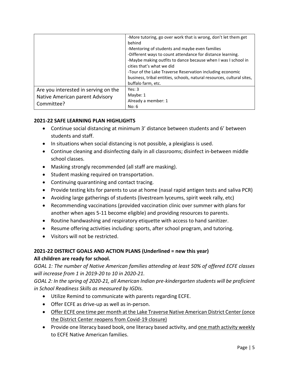|                                                                                       | -More tutoring, go over work that is wrong, don't let them get<br>behind<br>-Mentoring of students and maybe even families<br>-Different ways to count attendance for distance learning.<br>-Maybe making outfits to dance because when I was I school in<br>cities that's what we did<br>-Tour of the Lake Traverse Reservation including economic<br>business, tribal entities, schools, natural resources, cultural sites,<br>buffalo farm, etc. |
|---------------------------------------------------------------------------------------|-----------------------------------------------------------------------------------------------------------------------------------------------------------------------------------------------------------------------------------------------------------------------------------------------------------------------------------------------------------------------------------------------------------------------------------------------------|
| Are you interested in serving on the<br>Native American parent Advisory<br>Committee? | Yes: $3$<br>Maybe: 1<br>Already a member: 1<br>No: 6                                                                                                                                                                                                                                                                                                                                                                                                |

### **2021-22 SAFE LEARNING PLAN HIGHLIGHTS**

- Continue social distancing at minimum 3' distance between students and 6' between students and staff.
- In situations when social distancing is not possible, a plexiglass is used.
- Continue cleaning and disinfecting daily in all classrooms; disinfect in-between middle school classes.
- Masking strongly recommended (all staff are masking).
- Student masking required on transportation.
- Continuing quarantining and contact tracing.
- Provide testing kits for parents to use at home (nasal rapid antigen tests and saliva PCR)
- Avoiding large gatherings of students (livestream lyceums, spirit week rally, etc)
- Recommending vaccinations (provided vaccination clinic over summer with plans for another when ages 5-11 become eligible) and providing resources to parents.
- Routine handwashing and respiratory etiquette with access to hand sanitizer.
- Resume offering activities including: sports, after school program, and tutoring.
- Visitors will not be restricted.

### **2021-22 DISTRICT GOALS AND ACTION PLANS (Underlined = new this year)**

### **All children are ready for school.**

*GOAL 1: The number of Native American families attending at least 50% of offered ECFE classes will increase from 1 in 2019-20 to 10 in 2020-21.* 

*GOAL 2: In the spring of 2020-21, all American Indian pre-kindergarten students will be proficient in School Readiness Skills as measured by IGDIs.* 

- Utilize Remind to communicate with parents regarding ECFE.
- Offer ECFE as drive-up as well as in-person.
- Offer ECFE one time per month at the Lake Traverse Native American District Center (once the District Center reopens from Covid-19 closure)
- Provide one literacy based book, one literacy based activity, and one math activity weekly to ECFE Native American families.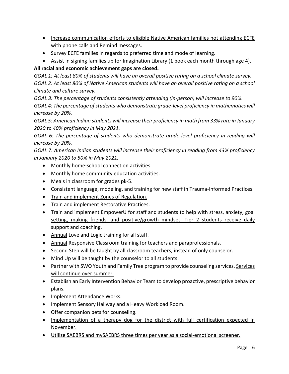- Increase communication efforts to eligible Native American families not attending ECFE with phone calls and Remind messages.
- Survey ECFE families in regards to preferred time and mode of learning.
- Assist in signing families up for Imagination Library (1 book each month through age 4).

# **All racial and economic achievement gaps are closed.**

*GOAL 1: At least 80% of students will have an overall positive rating on a school climate survey. GOAL 2: At least 80% of Native American students will have an overall positive rating on a school climate and culture survey.*

*GOAL 3: The percentage of students consistently attending (in-person) will increase to 90%.* 

*GOAL 4: The percentage of students who demonstrate grade-level proficiency in mathematics will increase by 20%.* 

*GOAL 5: American Indian students will increase their proficiency in math from 33% rate in January 2020 to 40% proficiency in May 2021.* 

*GOAL 6: The percentage of students who demonstrate grade-level proficiency in reading will increase by 20%.*

*GOAL 7: American Indian students will increase their proficiency in reading from 43% proficiency in January 2020 to 50% in May 2021.* 

- Monthly home-school connection activities.
- Monthly home community education activities.
- Meals in classroom for grades pk-5.
- Consistent language, modeling, and training for new staff in Trauma-Informed Practices.
- Train and implement Zones of Regulation.
- Train and implement Restorative Practices.
- Train and implement EmpowerU for staff and students to help with stress, anxiety, goal setting, making friends, and positive/growth mindset. Tier 2 students receive daily support and coaching.
- Annual Love and Logic training for all staff.
- Annual Responsive Classroom training for teachers and paraprofessionals.
- Second Step will be taught by all classroom teachers, instead of only counselor.
- Mind Up will be taught by the counselor to all students.
- Partner with SWO Youth and Family Tree program to provide counseling services. Services will continue over summer.
- Establish an Early Intervention Behavior Team to develop proactive, prescriptive behavior plans.
- Implement Attendance Works.
- Implement Sensory Hallway and a Heavy Workload Room.
- Offer companion pets for counseling.
- Implementation of a therapy dog for the district with full certification expected in November.
- Utilize SAEBRS and mySAEBRS three times per year as a social-emotional screener.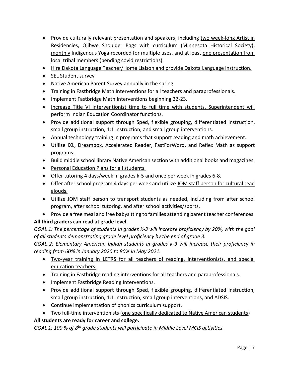- Provide culturally relevant presentation and speakers, including two week-long Artist in Residencies, Ojibwe Shoulder Bags with curriculum (Minnesota Historical Society), monthly Indigenous Yoga recorded for multiple uses, and at least one presentation from local tribal members (pending covid restrictions).
- Hire Dakota Language Teacher/Home Liaison and provide Dakota Language instruction.
- SEL Student survey
- Native American Parent Survey annually in the spring
- Training in Fastbridge Math Interventions for all teachers and paraprofessionals.
- Implement Fastbridge Math Interventions beginning 22-23.
- Increase Title VI interventionist time to full time with students. Superintendent will perform Indian Education Coordinator functions.
- Provide additional support through Sped, flexible grouping, differentiated instruction, small group instruction, 1:1 instruction, and small group interventions.
- Annual technology training in programs that support reading and math achievement.
- Utilize IXL, Dreambox, Accelerated Reader, FastForWord, and Reflex Math as support programs.
- Build middle school library Native American section with additional books and magazines.
- Personal Education Plans for all students.
- Offer tutoring 4 days/week in grades k-5 and once per week in grades 6-8.
- Offer after school program 4 days per week and utilize JOM staff person for cultural read alouds.
- Utilize JOM staff person to transport students as needed, including from after school program, after school tutoring, and after school activities/sports.
- Provide a free meal and free babysitting to families attending parent teacher conferences.

## **All third graders can read at grade level.**

*GOAL 1: The percentage of students in grades K-3 will increase proficiency by 20%, with the goal of all students demonstrating grade level proficiency by the end of grade 3.* 

*GOAL 2: Elementary American Indian students in grades k-3 will increase their proficiency in reading from 60% in January 2020 to 80% in May 2021.* 

- Two-year training in LETRS for all teachers of reading, interventionists, and special education teachers.
- Training in Fastbridge reading interventions for all teachers and paraprofessionals.
- Implement Fastbridge Reading Interventions.
- Provide additional support through Sped, flexible grouping, differentiated instruction, small group instruction, 1:1 instruction, small group interventions, and ADSIS.
- Continue implementation of phonics curriculum support.
- Two full-time interventionists (one specifically dedicated to Native American students)

## **All students are ready for career and college.**

*GOAL 1: 100 % of 8th grade students will participate in Middle Level MCIS activities.*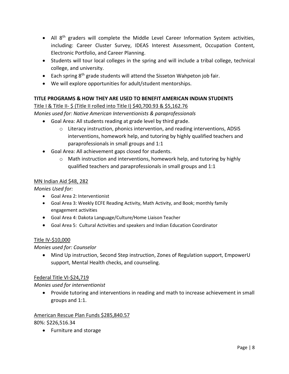- All 8<sup>th</sup> graders will complete the Middle Level Career Information System activities, including: Career Cluster Survey, IDEAS Interest Assessment, Occupation Content, Electronic Portfolio, and Career Planning.
- Students will tour local colleges in the spring and will include a tribal college, technical college, and university.
- $\bullet$  Each spring 8<sup>th</sup> grade students will attend the Sisseton Wahpeton job fair.
- We will explore opportunities for adult/student mentorships.

## **TITLE PROGRAMS & HOW THEY ARE USED TO BENEFIT AMERICAN INDIAN STUDENTS**

### Title I & Title II- \$ (Title II rolled into Title I) \$40,700.93 & \$5,162.76

*Monies used for: Native American Interventionists & paraprofessionals*

- Goal Area: All students reading at grade level by third grade.
	- o Literacy instruction, phonics intervention, and reading interventions, ADSIS interventions, homework help, and tutoring by highly qualified teachers and paraprofessionals in small groups and 1:1
- Goal Area: All achievement gaps closed for students.
	- $\circ$  Math instruction and interventions, homework help, and tutoring by highly qualified teachers and paraprofessionals in small groups and 1:1

#### MN Indian Aid \$48, 282

*Monies Used for:* 

- Goal Area 2: Interventionist
- Goal Area 3: Weekly ECFE Reading Activity, Math Activity, and Book; monthly family engagement activities
- Goal Area 4: Dakota Language/Culture/Home Liaison Teacher
- Goal Area 5: Cultural Activities and speakers and Indian Education Coordinator

### Title IV-\$10,000

### *Monies used for: Counselor*

• Mind Up instruction, Second Step instruction, Zones of Regulation support, EmpowerU support, Mental Health checks, and counseling.

### Federal Title VI-\$24,719

### *Monies used for interventionist*

• Provide tutoring and interventions in reading and math to increase achievement in small groups and 1:1.

### American Rescue Plan Funds \$285,840.57 80%: \$226,516.34

• Furniture and storage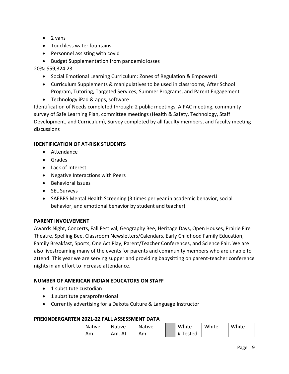- 2 vans
- Touchless water fountains
- Personnel assisting with covid
- Budget Supplementation from pandemic losses

20%: \$59,324.23

- Social Emotional Learning Curriculum: Zones of Regulation & EmpowerU
- Curriculum Supplements & manipulatives to be used in classrooms, After School Program, Tutoring, Targeted Services, Summer Programs, and Parent Engagement
- Technology iPad & apps, software

Identification of Needs completed through: 2 public meetings, AIPAC meeting, community survey of Safe Learning Plan, committee meetings (Health & Safety, Technology, Staff Development, and Curriculum), Survey completed by all faculty members, and faculty meeting discussions

#### **IDENTIFICATION OF AT-RISK STUDENTS**

- Attendance
- Grades
- Lack of Interest
- Negative Interactions with Peers
- Behavioral Issues
- SEL Surveys
- SAEBRS Mental Health Screening (3 times per year in academic behavior, social behavior, and emotional behavior by student and teacher)

### **PARENT INVOLVEMENT**

Awards Night, Concerts, Fall Festival, Geography Bee, Heritage Days, Open Houses, Prairie Fire Theatre, Spelling Bee, Classroom Newsletters/Calendars, Early Childhood Family Education, Family Breakfast, Sports, One Act Play, Parent/Teacher Conferences, and Science Fair. We are also livestreaming many of the events for parents and community members who are unable to attend. This year we are serving supper and providing babysitting on parent-teacher conference nights in an effort to increase attendance.

### **NUMBER OF AMERICAN INDIAN EDUCATORS ON STAFF**

- 1 substitute custodian
- 1 substitute paraprofessional
- Currently advertising for a Dakota Culture & Language Instructor

#### **PREKINDERGARTEN 2021-22 FALL ASSESSMENT DATA**

| <b>Native</b> | <b>Native</b> | <b>Native</b> | White                   | White | White |
|---------------|---------------|---------------|-------------------------|-------|-------|
| Am.           | Am. At        | Am.           | #<br><sup>-</sup> ested |       |       |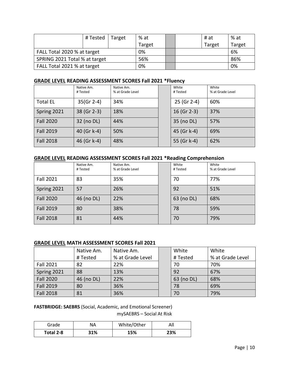|                               | # Tested | Target | % at   |  | # at   | % at   |
|-------------------------------|----------|--------|--------|--|--------|--------|
|                               |          |        | Target |  | Target | Target |
| FALL Total 2020 % at target   |          |        | 0%     |  |        | 6%     |
| SPRING 2021 Total % at target |          |        | 56%    |  |        | 86%    |
| FALL Total 2021 % at target   |          |        | 0%     |  |        | 0%     |

### **GRADE LEVEL READING ASSESSMENT SCORES Fall 2021 \*Fluency**

|                  | Native Am.<br># Tested | Native Am.<br>% at Grade Level | White<br># Tested | White<br>% at Grade Level |
|------------------|------------------------|--------------------------------|-------------------|---------------------------|
| <b>Total EL</b>  | $35(Gr 2-4)$           | 34%                            | 25 (Gr 2-4)       | 60%                       |
| Spring 2021      | 38 (Gr 2-3)            | 18%                            | 16 (Gr 2-3)       | 37%                       |
| <b>Fall 2020</b> | 32 (no DL)             | 44%                            | 35 (no DL)        | 57%                       |
| <b>Fall 2019</b> | 40 (Gr k-4)            | 50%                            | 45 (Gr k-4)       | 69%                       |
| <b>Fall 2018</b> | 46 (Gr k-4)            | 48%                            | 55 (Gr k-4)       | 62%                       |

#### **GRADE LEVEL READING ASSESSMENT SCORES Fall 2021 \*Reading Comprehension**

|                  | Native Am. | Native Am.       | White      | White            |
|------------------|------------|------------------|------------|------------------|
|                  | # Tested   | % at Grade Level | # Tested   | % at Grade Level |
| <b>Fall 2021</b> | 83         | 35%              | 70         | 77%              |
| Spring 2021      | 57         | 26%              | 92         | 51%              |
| <b>Fall 2020</b> | 46 (no DL) | 22%              | 63 (no DL) | 68%              |
| <b>Fall 2019</b> | 80         | 38%              | 78         | 59%              |
| <b>Fall 2018</b> | 81         | 44%              | 70         | 79%              |

### **GRADE LEVEL MATH ASSESSMENT SCORES Fall 2021**

|                  | Native Am. | Native Am.       | White      | White            |
|------------------|------------|------------------|------------|------------------|
|                  | # Tested   | % at Grade Level | # Tested   | % at Grade Level |
| <b>Fall 2021</b> | 82         | 22%              | 70         | 70%              |
| Spring 2021      | 88         | 13%              | 92         | 67%              |
| <b>Fall 2020</b> | 46 (no DL) | 22%              | 63 (no DL) | 68%              |
| <b>Fall 2019</b> | 80         | 36%              | 78         | 69%              |
| <b>Fall 2018</b> | 81         | 36%              | 70         | 79%              |

**FASTBRIDGE: SAEBRS** (Social, Academic, and Emotional Screener)

mySAEBRS – Social At Risk

| Grade     | NΑ  | White/Other | All |
|-----------|-----|-------------|-----|
| Total 2-8 | 31% | 15%         | 23% |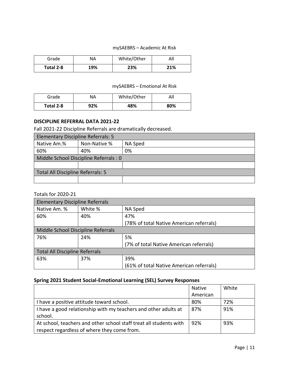#### mySAEBRS – Academic At Risk

| Grade     | NА  | White/Other | All |
|-----------|-----|-------------|-----|
| Total 2-8 | 19% | 23%         | 21% |

#### mySAEBRS – Emotional At Risk

| Grade     | ΝA  | White/Other | All |
|-----------|-----|-------------|-----|
| Total 2-8 | 92% | 48%         | 80% |

#### **DISCIPLINE REFERRAL DATA 2021-22**

Fall 2021-22 Discipline Referrals are dramatically decreased.

| Elementary Discipline Referrals: 5    |              |         |  |  |
|---------------------------------------|--------------|---------|--|--|
| Native Am.%                           | Non-Native % | NA Sped |  |  |
| 60%                                   | 40%          | 0%      |  |  |
| Middle School Discipline Referrals: 0 |              |         |  |  |
|                                       |              |         |  |  |
| Total All Discipline Referrals: 5     |              |         |  |  |
|                                       |              |         |  |  |

#### Totals for 2020-21

| <b>Elementary Discipline Referrals</b> |         |                                          |  |
|----------------------------------------|---------|------------------------------------------|--|
| Native Am. %                           | White % | NA Sped                                  |  |
| 60%                                    | 40%     | 47%                                      |  |
|                                        |         | (78% of total Native American referrals) |  |
| Middle School Discipline Referrals     |         |                                          |  |
| 76%                                    | 24%     | 5%                                       |  |
|                                        |         | (7% of total Native American referrals)  |  |
| <b>Total All Discipline Referrals</b>  |         |                                          |  |
| 63%                                    | 37%     | 39%                                      |  |
|                                        |         | (61% of total Native American referrals) |  |

#### **Spring 2021 Student Social-Emotional Learning (SEL) Survey Responses**

|                                                                    | Native   | White |
|--------------------------------------------------------------------|----------|-------|
|                                                                    | American |       |
| I have a positive attitude toward school.                          | 80%      | 72%   |
| I have a good relationship with my teachers and other adults at    | 87%      | 91%   |
| school.                                                            |          |       |
| At school, teachers and other school staff treat all students with | 92%      | 93%   |
| respect regardless of where they come from.                        |          |       |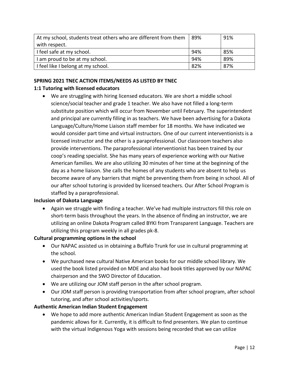| At my school, students treat others who are different from them | 89% | 91% |
|-----------------------------------------------------------------|-----|-----|
| with respect.                                                   |     |     |
| I feel safe at my school.                                       | 94% | 85% |
| am proud to be at my school.                                    | 94% | 89% |
| I feel like I belong at my school.                              | 82% | 87% |

## **SPRING 2021 TNEC ACTION ITEMS/NEEDS AS LISTED BY TNEC**

## **1:1 Tutoring with licensed educators**

• We are struggling with hiring licensed educators. We are short a middle school science/social teacher and grade 1 teacher. We also have not filled a long-term substitute position which will occur from November until February. The superintendent and principal are currently filling in as teachers. We have been advertising for a Dakota Language/Culture/Home Liaison staff member for 18 months. We have indicated we would consider part time and virtual instructors. One of our current interventionists is a licensed instructor and the other is a paraprofessional. Our classroom teachers also provide interventions. The paraprofessional interventionist has been trained by our coop's reading specialist. She has many years of experience working with our Native American families. We are also utilizing 30 minutes of her time at the beginning of the day as a home liaison. She calls the homes of any students who are absent to help us become aware of any barriers that might be preventing them from being in school. All of our after school tutoring is provided by licensed teachers. Our After School Program is staffed by a paraprofessional.

### **Inclusion of Dakota Language**

• Again we struggle with finding a teacher. We've had multiple instructors fill this role on short-term basis throughout the years. In the absence of finding an instructor, we are utilizing an online Dakota Program called BYKI from Transparent Language. Teachers are utilizing this program weekly in all grades pk-8.

### **Cultural programming options in the school**

- Our NAPAC assisted us in obtaining a Buffalo Trunk for use in cultural programming at the school.
- We purchased new cultural Native American books for our middle school library. We used the book listed provided on MDE and also had book titles approved by our NAPAC chairperson and the SWO Director of Education.
- We are utilizing our JOM staff person in the after school program.
- Our JOM staff person is providing transportation from after school program, after school tutoring, and after school activities/sports.

### **Authentic American Indian Student Engagement**

• We hope to add more authentic American Indian Student Engagement as soon as the pandemic allows for it. Currently, it is difficult to find presenters. We plan to continue with the virtual Indigenous Yoga with sessions being recorded that we can utilize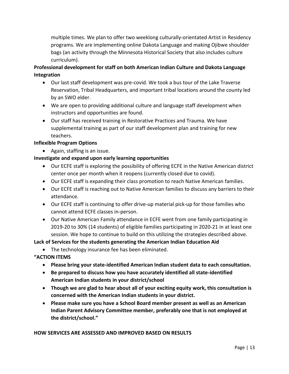multiple times. We plan to offer two weeklong culturally-orientated Artist in Residency programs. We are implementing online Dakota Language and making Ojibwe shoulder bags (an activity through the Minnesota Historical Society that also includes culture curriculum).

# **Professional development for staff on both American Indian Culture and Dakota Language Integration**

- Our last staff development was pre-covid. We took a bus tour of the Lake Traverse Reservation, Tribal Headquarters, and important tribal locations around the county led by an SWO elder.
- We are open to providing additional culture and language staff development when instructors and opportunities are found.
- Our staff has received training in Restorative Practices and Trauma. We have supplemental training as part of our staff development plan and training for new teachers.

## **Inflexible Program Options**

• Again, staffing is an issue.

## **Investigate and expand upon early learning opportunities**

- Our ECFE staff is exploring the possibility of offering ECFE in the Native American district center once per month when it reopens (currently closed due to covid).
- Our ECFE staff is expanding their class promotion to reach Native American families.
- Our ECFE staff is reaching out to Native American families to discuss any barriers to their attendance.
- Our ECFE staff is continuing to offer drive-up material pick-up for those families who cannot attend ECFE classes in-person.
- Our Native American Family attendance in ECFE went from one family participating in 2019-20 to 30% (14 students) of eligible families participating in 2020-21 in at least one session. We hope to continue to build on this utilizing the strategies described above.

**Lack of Services for the students generating the American Indian Education Aid**

- The technology insurance fee has been eliminated.
- **"ACTION ITEMS**
	- **Please bring your state-identified American Indian student data to each consultation.**
	- **Be prepared to discuss how you have accurately identified all state-identified American Indian students in your district/school**
	- **Though we are glad to hear about all of your exciting equity work, this consultation is concerned with the American Indian students in your district.**
	- **Please make sure you have a School Board member present as well as an American Indian Parent Advisory Committee member, preferably one that is not employed at the district/school."**

### **HOW SERVICES ARE ASSESSED AND IMPROVED BASED ON RESULTS**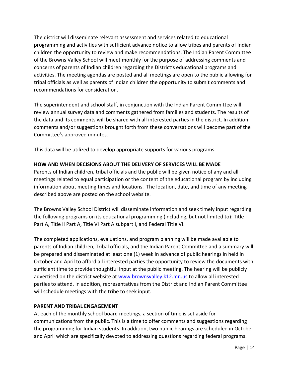The district will disseminate relevant assessment and services related to educational programming and activities with sufficient advance notice to allow tribes and parents of Indian children the opportunity to review and make recommendations. The Indian Parent Committee of the Browns Valley School will meet monthly for the purpose of addressing comments and concerns of parents of Indian children regarding the District's educational programs and activities. The meeting agendas are posted and all meetings are open to the public allowing for tribal officials as well as parents of Indian children the opportunity to submit comments and recommendations for consideration.

The superintendent and school staff, in conjunction with the Indian Parent Committee will review annual survey data and comments gathered from families and students. The results of the data and its comments will be shared with all interested parties in the district. In addition comments and/or suggestions brought forth from these conversations will become part of the Committee's approved minutes.

This data will be utilized to develop appropriate supports for various programs.

### **HOW AND WHEN DECISIONS ABOUT THE DELIVERY OF SERVICES WILL BE MADE**

Parents of Indian children, tribal officials and the public will be given notice of any and all meetings related to equal participation or the content of the educational program by including information about meeting times and locations. The location, date, and time of any meeting described above are posted on the school website.

The Browns Valley School District will disseminate information and seek timely input regarding the following programs on its educational programming (including, but not limited to): Title I Part A, Title II Part A, Title VI Part A subpart I, and Federal Title VI.

The completed applications, evaluations, and program planning will be made available to parents of Indian children, Tribal officials, and the Indian Parent Committee and a summary will be prepared and disseminated at least one (1) week in advance of public hearings in held in October and April to afford all interested parties the opportunity to review the documents with sufficient time to provide thoughtful input at the public meeting. The hearing will be publicly advertised on the district website at [www.brownsvalley.k12.mn.us](http://www.brownsvalley.k12.mn.us/) to allow all interested parties to attend. In addition, representatives from the District and Indian Parent Committee will schedule meetings with the tribe to seek input.

### **PARENT AND TRIBAL ENGAGEMENT**

At each of the monthly school board meetings, a section of time is set aside for communications from the public. This is a time to offer comments and suggestions regarding the programming for Indian students. In addition, two public hearings are scheduled in October and April which are specifically devoted to addressing questions regarding federal programs.